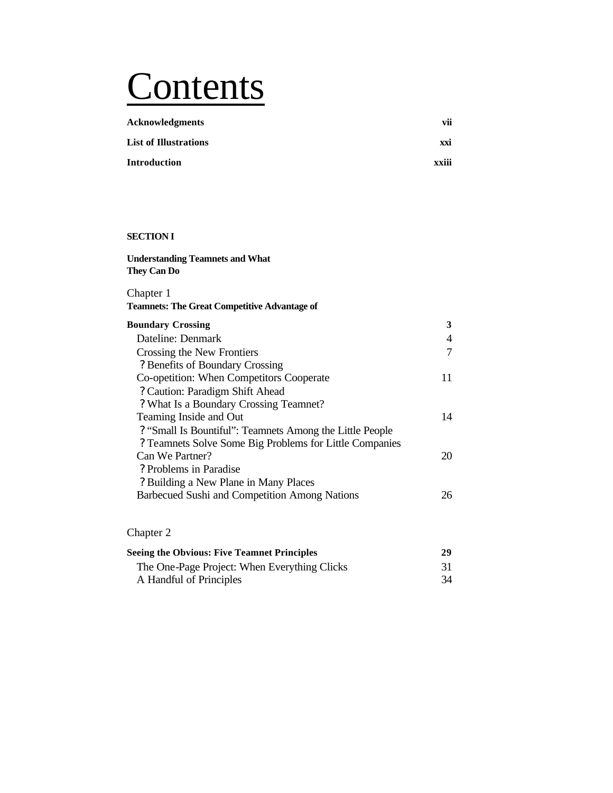# **Contents**

| <b>Acknowledgments</b>       | vii   |
|------------------------------|-------|
| <b>List of Illustrations</b> | xxi   |
| <b>Introduction</b>          | xxiii |

## **SECTION I**

| <b>Understanding Teamnets and What</b><br><b>They Can Do</b> |    |
|--------------------------------------------------------------|----|
| Chapter 1                                                    |    |
| <b>Teamnets: The Great Competitive Advantage of</b>          |    |
| <b>Boundary Crossing</b>                                     | 3  |
| Dateline: Denmark                                            | 4  |
| Crossing the New Frontiers                                   | 7  |
| ? Benefits of Boundary Crossing                              |    |
| Co-opetition: When Competitors Cooperate                     | 11 |
| ? Caution: Paradigm Shift Ahead                              |    |
| ? What Is a Boundary Crossing Teamnet?                       |    |
| Teaming Inside and Out                                       | 14 |
| ? "Small Is Bountiful": Teamnets Among the Little People     |    |
| ? Teamnets Solve Some Big Problems for Little Companies      |    |
| Can We Partner?                                              | 20 |
| ? Problems in Paradise                                       |    |
| ? Building a New Plane in Many Places                        |    |
| Barbecued Sushi and Competition Among Nations                | 26 |
|                                                              |    |

# Chapter 2

| <b>Seeing the Obvious: Five Teamnet Principles</b> | 29 |
|----------------------------------------------------|----|
| The One-Page Project: When Everything Clicks       |    |
| A Handful of Principles                            | 34 |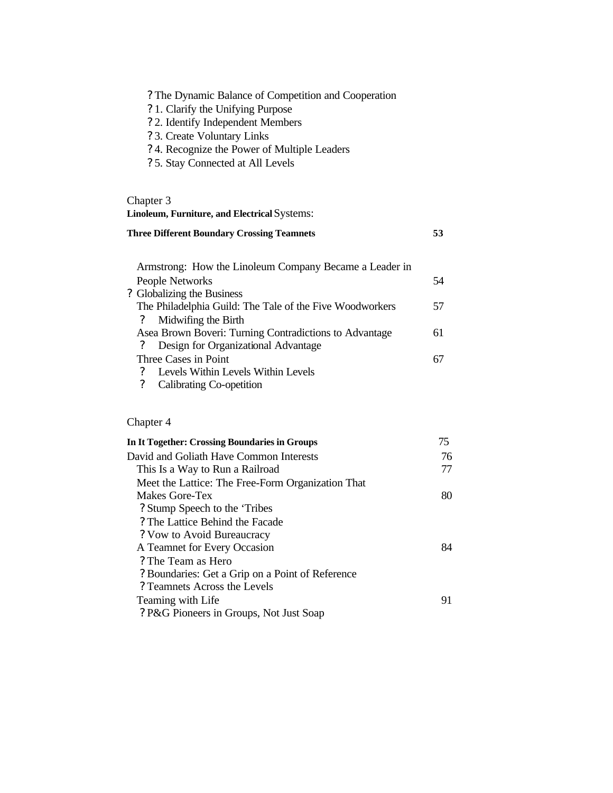| ? The Dynamic Balance of Competition and Cooperation<br>? 1. Clarify the Unifying Purpose<br>? 2. Identify Independent Members<br>? 3. Create Voluntary Links<br>? 4. Recognize the Power of Multiple Leaders<br>? 5. Stay Connected at All Levels |    |
|----------------------------------------------------------------------------------------------------------------------------------------------------------------------------------------------------------------------------------------------------|----|
| Chapter 3<br>Linoleum, Furniture, and Electrical Systems:                                                                                                                                                                                          |    |
| <b>Three Different Boundary Crossing Teamnets</b>                                                                                                                                                                                                  | 53 |
| Armstrong: How the Linoleum Company Became a Leader in<br>People Networks                                                                                                                                                                          | 54 |
| ? Globalizing the Business<br>The Philadelphia Guild: The Tale of the Five Woodworkers<br>Midwifing the Birth<br>?                                                                                                                                 | 57 |
| Asea Brown Boveri: Turning Contradictions to Advantage<br>Design for Organizational Advantage<br>$\overline{\mathcal{L}}$                                                                                                                          | 61 |
| Three Cases in Point<br>Levels Within Levels Within Levels<br>$\boldsymbol{\mathcal{P}}$<br>$\overline{?}$<br>Calibrating Co-opetition                                                                                                             | 67 |
| Chapter 4                                                                                                                                                                                                                                          |    |
| <b>In It Together: Crossing Boundaries in Groups</b>                                                                                                                                                                                               | 75 |
| David and Goliath Have Common Interests                                                                                                                                                                                                            | 76 |
| This Is a Way to Run a Railroad                                                                                                                                                                                                                    | 77 |
| Meet the Lattice: The Free-Form Organization That                                                                                                                                                                                                  |    |
| Makes Gore-Tex<br>? Stump Speech to the 'Tribes                                                                                                                                                                                                    | 80 |
| ? The Lattice Behind the Facade                                                                                                                                                                                                                    |    |
| ? Vow to Avoid Bureaucracy                                                                                                                                                                                                                         |    |
| A Teamnet for Every Occasion                                                                                                                                                                                                                       | 84 |
| ? The Team as Hero                                                                                                                                                                                                                                 |    |
| ? Boundaries: Get a Grip on a Point of Reference                                                                                                                                                                                                   |    |

Teaming with Life 91

? Teamnets Across the Levels

? P&G Pioneers in Groups, Not Just Soap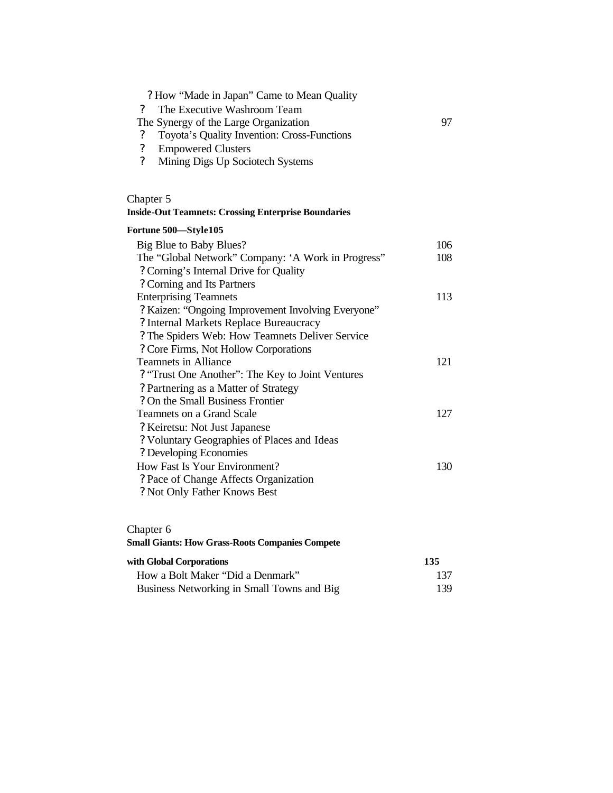| ? How "Made in Japan" Came to Mean Quality<br>The Executive Washroom Team<br>$\gamma$<br>The Synergy of the Large Organization<br>Toyota's Quality Invention: Cross-Functions<br>$\boldsymbol{\mathcal{P}}$<br>$\boldsymbol{\mathcal{C}}$<br><b>Empowered Clusters</b><br>$\gamma$<br>Mining Digs Up Sociotech Systems | 97  |
|------------------------------------------------------------------------------------------------------------------------------------------------------------------------------------------------------------------------------------------------------------------------------------------------------------------------|-----|
| Chapter 5                                                                                                                                                                                                                                                                                                              |     |
| <b>Inside-Out Teamnets: Crossing Enterprise Boundaries</b>                                                                                                                                                                                                                                                             |     |
| Fortune 500-Style105                                                                                                                                                                                                                                                                                                   |     |
| Big Blue to Baby Blues?                                                                                                                                                                                                                                                                                                | 106 |
| The "Global Network" Company: 'A Work in Progress"                                                                                                                                                                                                                                                                     | 108 |
| ? Corning's Internal Drive for Quality                                                                                                                                                                                                                                                                                 |     |
| ? Corning and Its Partners                                                                                                                                                                                                                                                                                             |     |
| <b>Enterprising Teamnets</b>                                                                                                                                                                                                                                                                                           | 113 |
| ? Kaizen: "Ongoing Improvement Involving Everyone"?                                                                                                                                                                                                                                                                    |     |
| ? Internal Markets Replace Bureaucracy                                                                                                                                                                                                                                                                                 |     |
| ? The Spiders Web: How Teamnets Deliver Service                                                                                                                                                                                                                                                                        |     |
| ? Core Firms, Not Hollow Corporations                                                                                                                                                                                                                                                                                  |     |
| <b>Teamnets in Alliance</b>                                                                                                                                                                                                                                                                                            | 121 |
| ? "Trust One Another": The Key to Joint Ventures                                                                                                                                                                                                                                                                       |     |

## ? Partnering as a Matter of Strategy ? On the Small Business Frontier Teamnets on a Grand Scale 127 ? Keiretsu: Not Just Japanese ? Voluntary Geographies of Places and Ideas ? Developing Economies How Fast Is Your Environment? 130 ? Pace of Change Affects Organization ? Not Only Father Knows Best

#### Chapter 6

### **Small Giants: How Grass-Roots Companies Compete**

| with Global Corporations                   | 135  |
|--------------------------------------------|------|
| How a Bolt Maker "Did a Denmark"           | 137  |
| Business Networking in Small Towns and Big | 139. |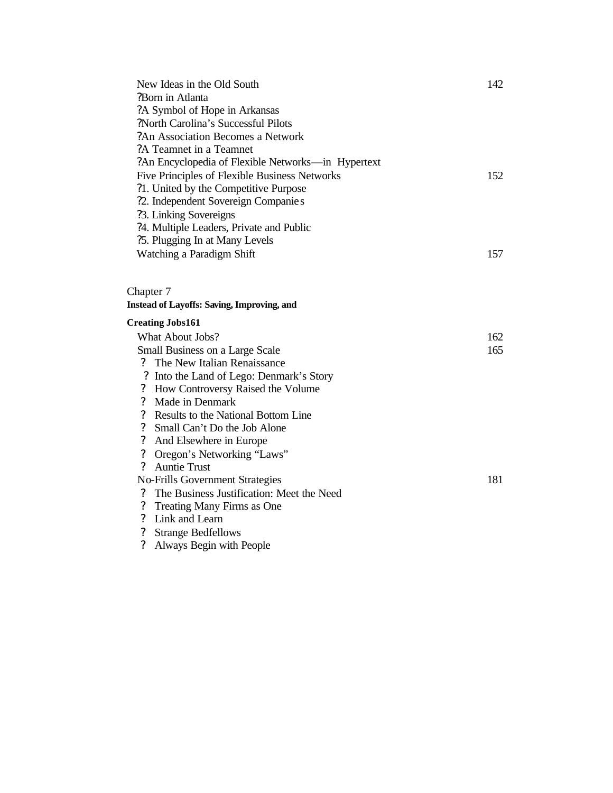| New Ideas in the Old South                         | 142                                                                                                                                                                                                                                                                                                                                                                                                                                                                                                                       |
|----------------------------------------------------|---------------------------------------------------------------------------------------------------------------------------------------------------------------------------------------------------------------------------------------------------------------------------------------------------------------------------------------------------------------------------------------------------------------------------------------------------------------------------------------------------------------------------|
| ?Born in Atlanta                                   |                                                                                                                                                                                                                                                                                                                                                                                                                                                                                                                           |
| ?A Symbol of Hope in Arkansas                      |                                                                                                                                                                                                                                                                                                                                                                                                                                                                                                                           |
| ?North Carolina's Successful Pilots                |                                                                                                                                                                                                                                                                                                                                                                                                                                                                                                                           |
| ?An Association Becomes a Network                  |                                                                                                                                                                                                                                                                                                                                                                                                                                                                                                                           |
| ?A Teamnet in a Teamnet                            |                                                                                                                                                                                                                                                                                                                                                                                                                                                                                                                           |
| ?An Encyclopedia of Flexible Networks—in Hypertext |                                                                                                                                                                                                                                                                                                                                                                                                                                                                                                                           |
| Five Principles of Flexible Business Networks      | 152                                                                                                                                                                                                                                                                                                                                                                                                                                                                                                                       |
| ?1. United by the Competitive Purpose              |                                                                                                                                                                                                                                                                                                                                                                                                                                                                                                                           |
| ?2. Independent Sovereign Companies                |                                                                                                                                                                                                                                                                                                                                                                                                                                                                                                                           |
| ?3. Linking Sovereigns                             |                                                                                                                                                                                                                                                                                                                                                                                                                                                                                                                           |
| ?4. Multiple Leaders, Private and Public           |                                                                                                                                                                                                                                                                                                                                                                                                                                                                                                                           |
| ?5. Plugging In at Many Levels                     |                                                                                                                                                                                                                                                                                                                                                                                                                                                                                                                           |
| Watching a Paradigm Shift                          | 157                                                                                                                                                                                                                                                                                                                                                                                                                                                                                                                       |
|                                                    |                                                                                                                                                                                                                                                                                                                                                                                                                                                                                                                           |
|                                                    |                                                                                                                                                                                                                                                                                                                                                                                                                                                                                                                           |
|                                                    |                                                                                                                                                                                                                                                                                                                                                                                                                                                                                                                           |
|                                                    |                                                                                                                                                                                                                                                                                                                                                                                                                                                                                                                           |
|                                                    | 162                                                                                                                                                                                                                                                                                                                                                                                                                                                                                                                       |
|                                                    | 165                                                                                                                                                                                                                                                                                                                                                                                                                                                                                                                       |
|                                                    |                                                                                                                                                                                                                                                                                                                                                                                                                                                                                                                           |
|                                                    |                                                                                                                                                                                                                                                                                                                                                                                                                                                                                                                           |
|                                                    |                                                                                                                                                                                                                                                                                                                                                                                                                                                                                                                           |
|                                                    |                                                                                                                                                                                                                                                                                                                                                                                                                                                                                                                           |
|                                                    |                                                                                                                                                                                                                                                                                                                                                                                                                                                                                                                           |
|                                                    |                                                                                                                                                                                                                                                                                                                                                                                                                                                                                                                           |
|                                                    |                                                                                                                                                                                                                                                                                                                                                                                                                                                                                                                           |
|                                                    |                                                                                                                                                                                                                                                                                                                                                                                                                                                                                                                           |
|                                                    |                                                                                                                                                                                                                                                                                                                                                                                                                                                                                                                           |
|                                                    | 181                                                                                                                                                                                                                                                                                                                                                                                                                                                                                                                       |
| The Business Justification: Meet the Need          |                                                                                                                                                                                                                                                                                                                                                                                                                                                                                                                           |
|                                                    |                                                                                                                                                                                                                                                                                                                                                                                                                                                                                                                           |
| Link and Learn                                     |                                                                                                                                                                                                                                                                                                                                                                                                                                                                                                                           |
| <b>Strange Bedfellows</b>                          |                                                                                                                                                                                                                                                                                                                                                                                                                                                                                                                           |
|                                                    | Chapter 7<br><b>Instead of Layoffs: Saving, Improving, and</b><br><b>Creating Jobs161</b><br><b>What About Jobs?</b><br>Small Business on a Large Scale<br>The New Italian Renaissance<br>? Into the Land of Lego: Denmark's Story<br>How Controversy Raised the Volume<br>Made in Denmark<br>Results to the National Bottom Line<br>Small Can't Do the Job Alone<br>And Elsewhere in Europe<br>Oregon's Networking "Laws"<br><b>Auntie Trust</b><br><b>No-Frills Government Strategies</b><br>Treating Many Firms as One |

? Always Begin with People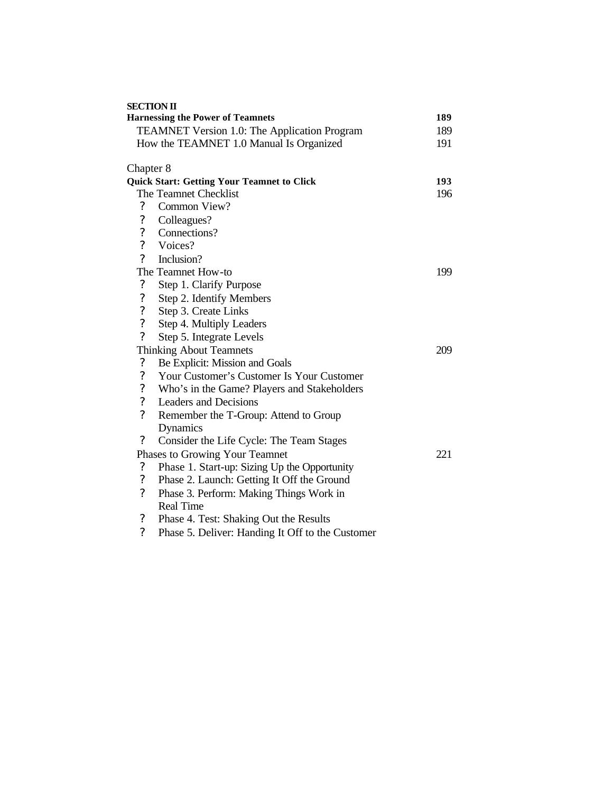| <b>SECTION II</b>          |                                                   |     |
|----------------------------|---------------------------------------------------|-----|
|                            | <b>Harnessing the Power of Teamnets</b>           | 189 |
|                            | TEAMNET Version 1.0: The Application Program      | 189 |
|                            | How the TEAMNET 1.0 Manual Is Organized           | 191 |
| Chapter 8                  |                                                   |     |
|                            | <b>Quick Start: Getting Your Teamnet to Click</b> | 193 |
|                            | The Teamnet Checklist                             | 196 |
| $\boldsymbol{\mathcal{C}}$ | Common View?                                      |     |
| $\overline{\mathcal{C}}$   | Colleagues?                                       |     |
| $\overline{\mathcal{L}}$   | Connections?                                      |     |
| $\overline{\mathcal{L}}$   | Voices?                                           |     |
| $\overline{?}$             | Inclusion?                                        |     |
|                            | The Teamnet How-to                                | 199 |
| ?                          | Step 1. Clarify Purpose                           |     |
| $\boldsymbol{\mathcal{C}}$ | Step 2. Identify Members                          |     |
| $\overline{\mathcal{L}}$   | Step 3. Create Links                              |     |
| $\overline{\mathcal{L}}$   | Step 4. Multiply Leaders                          |     |
| $\overline{?}$             | Step 5. Integrate Levels                          |     |
|                            | <b>Thinking About Teamnets</b>                    | 209 |
| $\boldsymbol{\mathcal{C}}$ | Be Explicit: Mission and Goals                    |     |
| $\boldsymbol{?}$           | Your Customer's Customer Is Your Customer         |     |
| $\overline{\mathcal{L}}$   | Who's in the Game? Players and Stakeholders       |     |
| $\overline{\mathcal{L}}$   | Leaders and Decisions                             |     |
| $\overline{?}$             | Remember the T-Group: Attend to Group             |     |
|                            | Dynamics                                          |     |
| $\boldsymbol{?}$           | Consider the Life Cycle: The Team Stages          |     |
|                            | Phases to Growing Your Teamnet                    | 221 |
| $\overline{\cdot}$         | Phase 1. Start-up: Sizing Up the Opportunity      |     |
| $\boldsymbol{\mathcal{C}}$ | Phase 2. Launch: Getting It Off the Ground        |     |
| $\overline{\mathcal{C}}$   | Phase 3. Perform: Making Things Work in           |     |
|                            | <b>Real Time</b>                                  |     |
| $\boldsymbol{\mathcal{C}}$ | Phase 4. Test: Shaking Out the Results            |     |
| $\gamma$                   | Phase 5. Deliver: Handing It Off to the Customer  |     |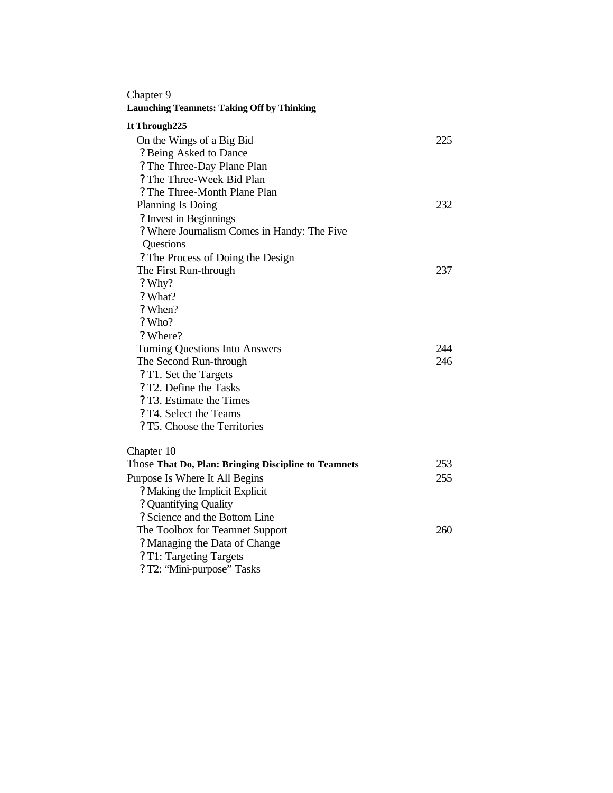## Chapter 9

## **Launching Teamnets: Taking Off by Thinking**

## **It Through225**

| On the Wings of a Big Bid<br>? Being Asked to Dance<br>? The Three-Day Plane Plan<br>? The Three-Week Bid Plan<br>? The Three-Month Plane Plan | 225 |
|------------------------------------------------------------------------------------------------------------------------------------------------|-----|
| <b>Planning Is Doing</b>                                                                                                                       | 232 |
| ? Invest in Beginnings                                                                                                                         |     |
| ? Where Journalism Comes in Handy: The Five                                                                                                    |     |
| Questions                                                                                                                                      |     |
| ? The Process of Doing the Design                                                                                                              |     |
| The First Run-through                                                                                                                          | 237 |
| ? Why?                                                                                                                                         |     |
| ? What?                                                                                                                                        |     |
| ? When?                                                                                                                                        |     |
| ? Who?                                                                                                                                         |     |
| ? Where?                                                                                                                                       |     |
| <b>Turning Questions Into Answers</b>                                                                                                          | 244 |
| The Second Run-through                                                                                                                         | 246 |
| ? T1. Set the Targets                                                                                                                          |     |
| ? T2. Define the Tasks                                                                                                                         |     |
| ? T3. Estimate the Times                                                                                                                       |     |
| ? T4. Select the Teams                                                                                                                         |     |
| ? T5. Choose the Territories                                                                                                                   |     |
| Chapter 10                                                                                                                                     |     |
| Those That Do, Plan: Bringing Discipline to Teamnets                                                                                           | 253 |
| Purpose Is Where It All Begins                                                                                                                 | 255 |
| ? Making the Implicit Explicit                                                                                                                 |     |
| ? Quantifying Quality                                                                                                                          |     |
| ? Science and the Bottom Line                                                                                                                  |     |
| The Toolbox for Teamnet Support                                                                                                                | 260 |
| ? Managing the Data of Change                                                                                                                  |     |
| ? T1: Targeting Targets                                                                                                                        |     |
|                                                                                                                                                |     |

? T2: "Mini-purpose" Tasks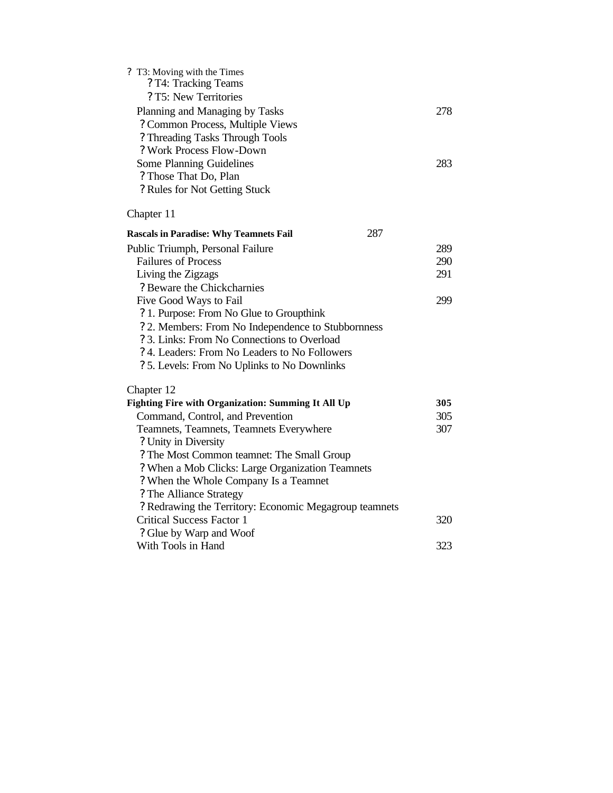| ? T3: Moving with the Times<br>? T4: Tracking Teams<br>? T5: New Territories |     |
|------------------------------------------------------------------------------|-----|
| Planning and Managing by Tasks                                               | 278 |
| ? Common Process, Multiple Views                                             |     |
| ? Threading Tasks Through Tools                                              |     |
| ? Work Process Flow-Down                                                     |     |
| Some Planning Guidelines                                                     | 283 |
| ? Those That Do, Plan                                                        |     |
| ? Rules for Not Getting Stuck                                                |     |
| Chapter 11                                                                   |     |
| 287<br><b>Rascals in Paradise: Why Teamnets Fail</b>                         |     |
| Public Triumph, Personal Failure                                             | 289 |
| <b>Failures of Process</b>                                                   | 290 |
| Living the Zigzags                                                           | 291 |
| ? Beware the Chickcharnies                                                   |     |
| Five Good Ways to Fail                                                       | 299 |
| ? 1. Purpose: From No Glue to Groupthink                                     |     |
| ? 2. Members: From No Independence to Stubbornness                           |     |
| ? 3. Links: From No Connections to Overload                                  |     |
| ? 4. Leaders: From No Leaders to No Followers                                |     |
| ? 5. Levels: From No Uplinks to No Downlinks                                 |     |
| Chapter 12                                                                   |     |
| <b>Fighting Fire with Organization: Summing It All Up</b>                    | 305 |
| Command, Control, and Prevention                                             | 305 |
| Teamnets, Teamnets, Teamnets Everywhere                                      | 307 |
| ? Unity in Diversity                                                         |     |
| ? The Most Common teamnet: The Small Group                                   |     |
| ? When a Mob Clicks: Large Organization Teamnets                             |     |
| ? When the Whole Company Is a Teamnet                                        |     |
| ? The Alliance Strategy                                                      |     |
| ? Redrawing the Territory: Economic Megagroup teamnets                       |     |
| <b>Critical Success Factor 1</b>                                             | 320 |
| ? Glue by Warp and Woof                                                      |     |
| With Tools in Hand                                                           | 323 |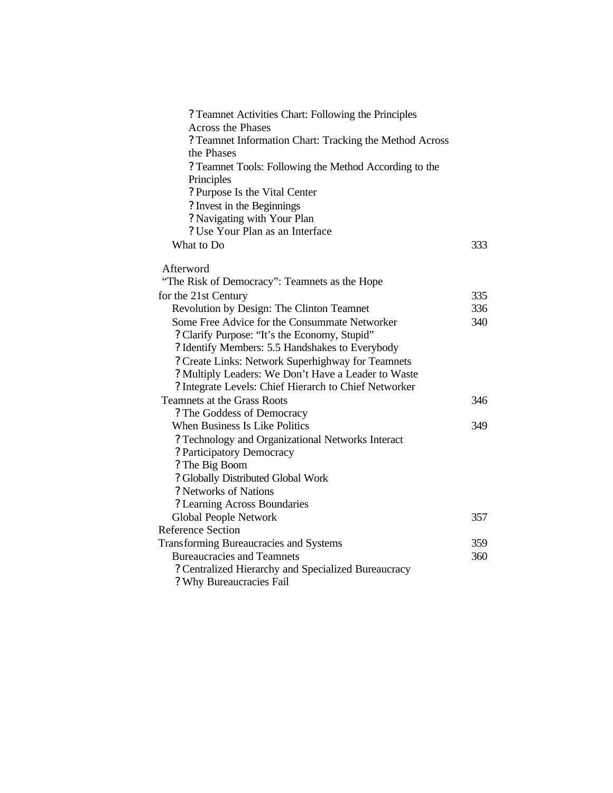| ? Teamnet Activities Chart: Following the Principles    |     |
|---------------------------------------------------------|-----|
| <b>Across the Phases</b>                                |     |
| ? Teamnet Information Chart: Tracking the Method Across |     |
| the Phases                                              |     |
| ? Teamnet Tools: Following the Method According to the  |     |
| Principles                                              |     |
| ? Purpose Is the Vital Center                           |     |
| ? Invest in the Beginnings                              |     |
| ? Navigating with Your Plan                             |     |
| ? Use Your Plan as an Interface                         |     |
| What to Do                                              | 333 |
|                                                         |     |
| Afterword                                               |     |
| "The Risk of Democracy": Teamnets as the Hope           |     |
| for the 21st Century                                    | 335 |
| Revolution by Design: The Clinton Teamnet               | 336 |
| Some Free Advice for the Consummate Networker           | 340 |
| ? Clarify Purpose: "It's the Economy, Stupid"           |     |
| ? Identify Members: 5.5 Handshakes to Everybody         |     |
| ? Create Links: Network Superhighway for Teamnets       |     |
| ? Multiply Leaders: We Don't Have a Leader to Waste     |     |
| ? Integrate Levels: Chief Hierarch to Chief Networker   |     |
| Teamnets at the Grass Roots                             | 346 |
| ? The Goddess of Democracy                              |     |
| When Business Is Like Politics                          | 349 |
| ? Technology and Organizational Networks Interact       |     |
| ? Participatory Democracy                               |     |
| ? The Big Boom                                          |     |
| ? Globally Distributed Global Work                      |     |
| ? Networks of Nations                                   |     |
| ? Learning Across Boundaries                            |     |
| <b>Global People Network</b>                            | 357 |
| Reference Section                                       |     |
| <b>Transforming Bureaucracies and Systems</b>           | 359 |
| <b>Bureaucracies and Teamnets</b>                       | 360 |
| ? Centralized Hierarchy and Specialized Bureaucracy     |     |
| ? Why Bureaucracies Fail                                |     |